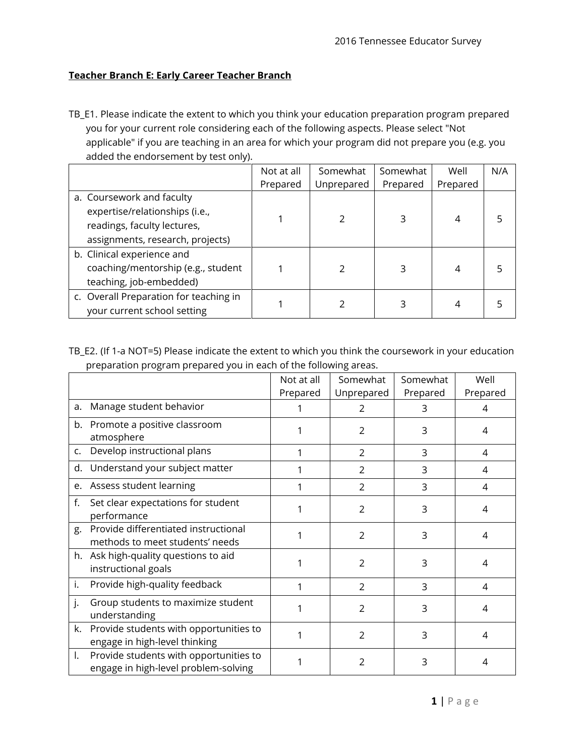## **Teacher Branch E: Early Career Teacher Branch**

TB\_E1. Please indicate the extent to which you think your education preparation program prepared you for your current role considering each of the following aspects. Please select "Not applicable" if you are teaching in an area for which your program did not prepare you (e.g. you added the endorsement by test only).

|                                        | Not at all | Somewhat   | Somewhat | Well     | N/A |
|----------------------------------------|------------|------------|----------|----------|-----|
|                                        | Prepared   | Unprepared | Prepared | Prepared |     |
| a. Coursework and faculty              |            |            |          |          |     |
| expertise/relationships (i.e.,         |            |            |          |          |     |
| readings, faculty lectures,            |            |            |          |          |     |
| assignments, research, projects)       |            |            |          |          |     |
| b. Clinical experience and             |            |            |          |          |     |
| coaching/mentorship (e.g., student     |            |            |          |          |     |
| teaching, job-embedded)                |            |            |          |          |     |
| c. Overall Preparation for teaching in |            |            |          |          |     |
| your current school setting            |            |            |          |          |     |

TB\_E2. (If 1-a NOT=5) Please indicate the extent to which you think the coursework in your education preparation program prepared you in each of the following areas.

|    | יטי דיירי                                                                      |            |                |          |          |
|----|--------------------------------------------------------------------------------|------------|----------------|----------|----------|
|    |                                                                                | Not at all | Somewhat       | Somewhat | Well     |
|    |                                                                                | Prepared   | Unprepared     | Prepared | Prepared |
| a. | Manage student behavior                                                        |            | 2              | 3        | 4        |
|    | b. Promote a positive classroom<br>atmosphere                                  |            | $\overline{2}$ | 3        | 4        |
| C. | Develop instructional plans                                                    |            | $\overline{2}$ | 3        | 4        |
| d. | Understand your subject matter                                                 |            | $\mathcal{P}$  | 3        | 4        |
|    | e. Assess student learning                                                     |            | $\overline{2}$ | 3        | 4        |
| f. | Set clear expectations for student<br>performance                              |            | $\overline{2}$ | 3        | 4        |
| g. | Provide differentiated instructional<br>methods to meet students' needs        |            | $\overline{2}$ | 3        | 4        |
|    | h. Ask high-quality questions to aid<br>instructional goals                    |            | $\overline{2}$ | 3        | 4        |
| i. | Provide high-quality feedback                                                  |            | $\overline{2}$ | 3        | 4        |
| j. | Group students to maximize student<br>understanding                            |            | $\overline{2}$ | 3        | 4        |
| k. | Provide students with opportunities to<br>engage in high-level thinking        |            | $\overline{2}$ | 3        | 4        |
| I. | Provide students with opportunities to<br>engage in high-level problem-solving |            | 2              | 3        | 4        |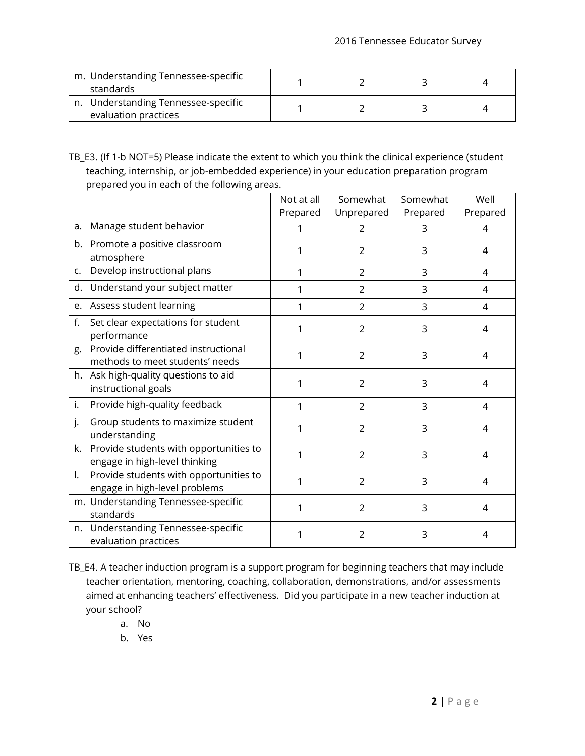| m. Understanding Tennessee-specific<br>standards            |  |  |
|-------------------------------------------------------------|--|--|
| n. Understanding Tennessee-specific<br>evaluation practices |  |  |

TB\_E3. (If 1-b NOT=5) Please indicate the extent to which you think the clinical experience (student teaching, internship, or job-embedded experience) in your education preparation program prepared you in each of the following areas.

|                |                                                                         | Not at all | Somewhat       | Somewhat | Well     |
|----------------|-------------------------------------------------------------------------|------------|----------------|----------|----------|
|                |                                                                         | Prepared   | Unprepared     | Prepared | Prepared |
| a.             | Manage student behavior                                                 |            | 2              | 3        | 4        |
|                | b. Promote a positive classroom<br>atmosphere                           | 1          | $\overline{2}$ | 3        | 4        |
| C <sub>1</sub> | Develop instructional plans                                             | 1          | $\overline{2}$ | 3        | 4        |
| d.             | Understand your subject matter                                          | 1          | $\overline{2}$ | 3        | 4        |
|                | e. Assess student learning                                              | 1          | $\overline{2}$ | 3        | 4        |
| f.             | Set clear expectations for student<br>performance                       | 1          | $\overline{2}$ | 3        | 4        |
| g.             | Provide differentiated instructional<br>methods to meet students' needs | 1          | $\overline{2}$ | 3        | 4        |
|                | h. Ask high-quality questions to aid<br>instructional goals             | 1          | $\overline{2}$ | 3        | 4        |
| i.             | Provide high-quality feedback                                           | 1          | $\overline{2}$ | 3        | 4        |
| j.             | Group students to maximize student<br>understanding                     | 1          | $\overline{2}$ | 3        | 4        |
| k.             | Provide students with opportunities to<br>engage in high-level thinking |            | 2              | 3        | 4        |
| I.             | Provide students with opportunities to<br>engage in high-level problems | 1          | $\overline{2}$ | 3        | 4        |
|                | m. Understanding Tennessee-specific<br>standards                        |            | $\overline{2}$ | 3        | 4        |
|                | n. Understanding Tennessee-specific<br>evaluation practices             | 1          | $\overline{2}$ | 3        | 4        |

- TB\_E4. A teacher induction program is a support program for beginning teachers that may include teacher orientation, mentoring, coaching, collaboration, demonstrations, and/or assessments aimed at enhancing teachers' effectiveness. Did you participate in a new teacher induction at your school?
	- a. No
	- b. Yes